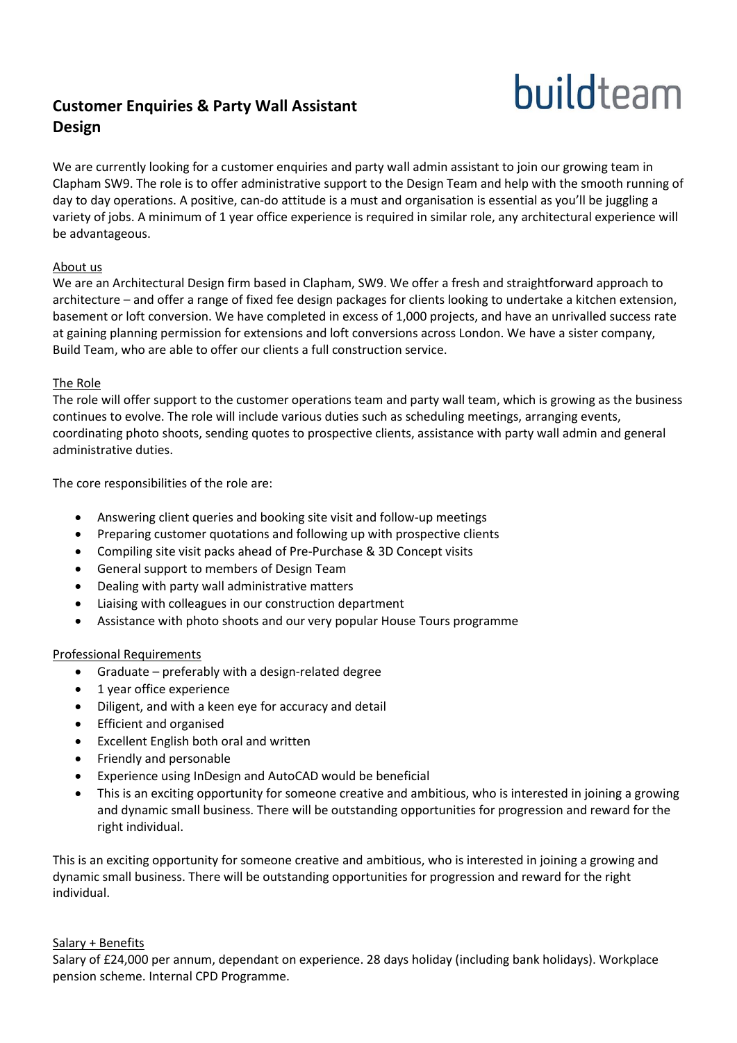# **Customer Enquiries & Party Wall Assistant Design**

# buildteam

We are currently looking for a customer enquiries and party wall admin assistant to join our growing team in Clapham SW9. The role is to offer administrative support to the Design Team and help with the smooth running of day to day operations. A positive, can-do attitude is a must and organisation is essential as you'll be juggling a variety of jobs. A minimum of 1 year office experience is required in similar role, any architectural experience will be advantageous.

## About us

We are an Architectural Design firm based in Clapham, SW9. We offer a fresh and straightforward approach to architecture – and offer a range of fixed fee design packages for clients looking to undertake a kitchen extension, basement or loft conversion. We have completed in excess of 1,000 projects, and have an unrivalled success rate at gaining planning permission for extensions and loft conversions across London. We have a sister company, Build Team, who are able to offer our clients a full construction service.

### The Role

The role will offer support to the customer operations team and party wall team, which is growing as the business continues to evolve. The role will include various duties such as scheduling meetings, arranging events, coordinating photo shoots, sending quotes to prospective clients, assistance with party wall admin and general administrative duties.

The core responsibilities of the role are:

- Answering client queries and booking site visit and follow-up meetings
- Preparing customer quotations and following up with prospective clients
- Compiling site visit packs ahead of Pre-Purchase & 3D Concept visits
- General support to members of Design Team
- Dealing with party wall administrative matters
- Liaising with colleagues in our construction department
- Assistance with photo shoots and our very popular House Tours programme

### Professional Requirements

- Graduate preferably with a design-related degree
- 1 year office experience
- Diligent, and with a keen eye for accuracy and detail
- **•** Efficient and organised
- Excellent English both oral and written
- Friendly and personable
- Experience using InDesign and AutoCAD would be beneficial
- This is an exciting opportunity for someone creative and ambitious, who is interested in joining a growing and dynamic small business. There will be outstanding opportunities for progression and reward for the right individual.

This is an exciting opportunity for someone creative and ambitious, who is interested in joining a growing and dynamic small business. There will be outstanding opportunities for progression and reward for the right individual.

### Salary + Benefits

Salary of £24,000 per annum, dependant on experience. 28 days holiday (including bank holidays). Workplace pension scheme. Internal CPD Programme.